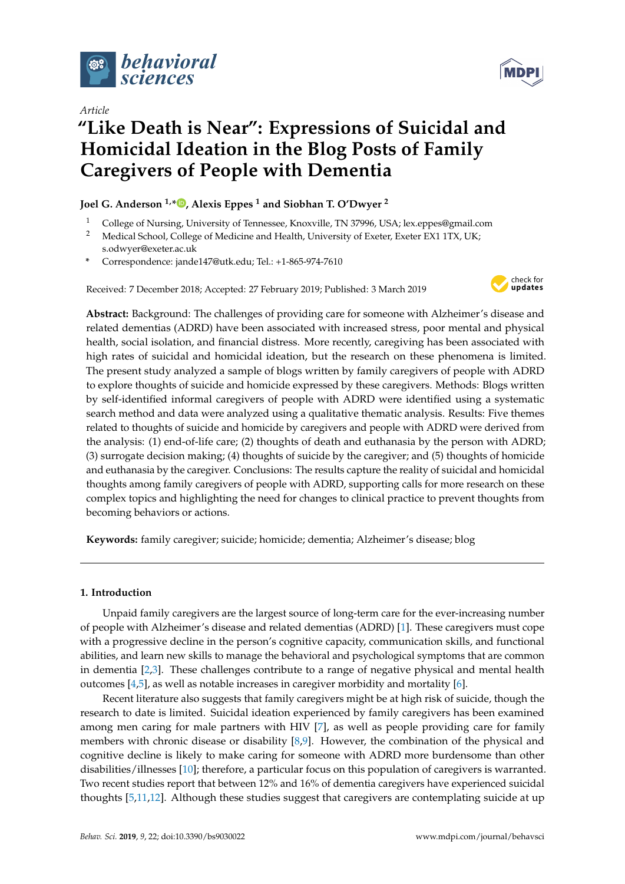

*Article*

# **MDP**

# **"Like Death is Near": Expressions of Suicidal and Homicidal Ideation in the Blog Posts of Family Caregivers of People with Dementia**

**Joel G. Anderson 1,[\\*](https://orcid.org/0000-0002-6216-4014) , Alexis Eppes <sup>1</sup> and Siobhan T. O'Dwyer <sup>2</sup>**

- <sup>1</sup> College of Nursing, University of Tennessee, Knoxville, TN 37996, USA; lex.eppes@gmail.com
- <sup>2</sup> Medical School, College of Medicine and Health, University of Exeter, Exeter EX1 1TX, UK; s.odwyer@exeter.ac.uk
- **\*** Correspondence: jande147@utk.edu; Tel.: +1-865-974-7610

Received: 7 December 2018; Accepted: 27 February 2019; Published: 3 March 2019



**Abstract:** Background: The challenges of providing care for someone with Alzheimer's disease and related dementias (ADRD) have been associated with increased stress, poor mental and physical health, social isolation, and financial distress. More recently, caregiving has been associated with high rates of suicidal and homicidal ideation, but the research on these phenomena is limited. The present study analyzed a sample of blogs written by family caregivers of people with ADRD to explore thoughts of suicide and homicide expressed by these caregivers. Methods: Blogs written by self-identified informal caregivers of people with ADRD were identified using a systematic search method and data were analyzed using a qualitative thematic analysis. Results: Five themes related to thoughts of suicide and homicide by caregivers and people with ADRD were derived from the analysis: (1) end-of-life care; (2) thoughts of death and euthanasia by the person with ADRD; (3) surrogate decision making; (4) thoughts of suicide by the caregiver; and (5) thoughts of homicide and euthanasia by the caregiver. Conclusions: The results capture the reality of suicidal and homicidal thoughts among family caregivers of people with ADRD, supporting calls for more research on these complex topics and highlighting the need for changes to clinical practice to prevent thoughts from becoming behaviors or actions.

**Keywords:** family caregiver; suicide; homicide; dementia; Alzheimer's disease; blog

# **1. Introduction**

Unpaid family caregivers are the largest source of long-term care for the ever-increasing number of people with Alzheimer's disease and related dementias (ADRD) [\[1\]](#page-8-0). These caregivers must cope with a progressive decline in the person's cognitive capacity, communication skills, and functional abilities, and learn new skills to manage the behavioral and psychological symptoms that are common in dementia [\[2,](#page-8-1)[3\]](#page-8-2). These challenges contribute to a range of negative physical and mental health outcomes [\[4,](#page-8-3)[5\]](#page-8-4), as well as notable increases in caregiver morbidity and mortality [\[6\]](#page-8-5).

Recent literature also suggests that family caregivers might be at high risk of suicide, though the research to date is limited. Suicidal ideation experienced by family caregivers has been examined among men caring for male partners with HIV [\[7\]](#page-8-6), as well as people providing care for family members with chronic disease or disability [\[8,](#page-8-7)[9\]](#page-8-8). However, the combination of the physical and cognitive decline is likely to make caring for someone with ADRD more burdensome than other disabilities/illnesses [\[10\]](#page-8-9); therefore, a particular focus on this population of caregivers is warranted. Two recent studies report that between 12% and 16% of dementia caregivers have experienced suicidal thoughts [\[5](#page-8-4)[,11](#page-8-10)[,12\]](#page-8-11). Although these studies suggest that caregivers are contemplating suicide at up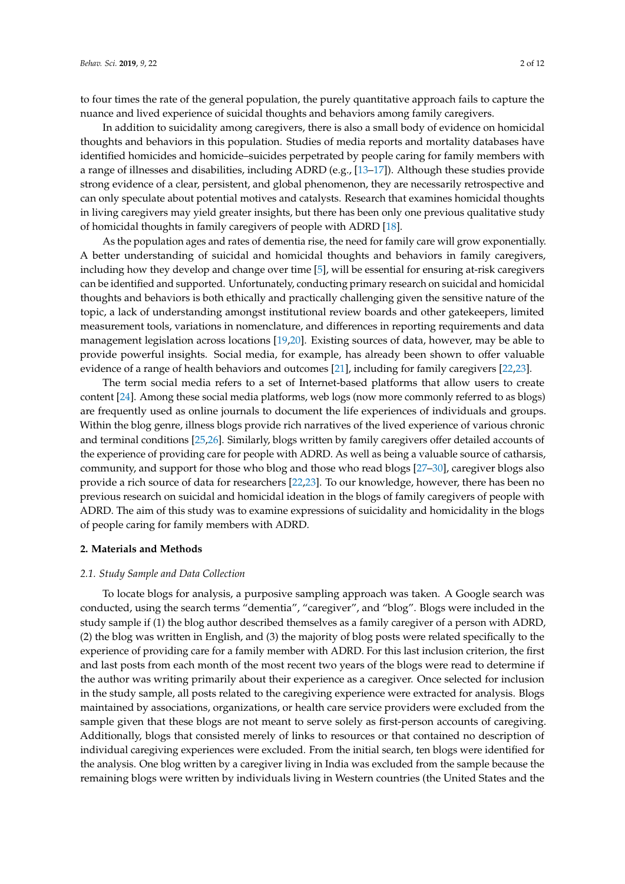to four times the rate of the general population, the purely quantitative approach fails to capture the nuance and lived experience of suicidal thoughts and behaviors among family caregivers.

In addition to suicidality among caregivers, there is also a small body of evidence on homicidal thoughts and behaviors in this population. Studies of media reports and mortality databases have identified homicides and homicide–suicides perpetrated by people caring for family members with a range of illnesses and disabilities, including ADRD (e.g., [\[13–](#page-9-0)[17\]](#page-9-1)). Although these studies provide strong evidence of a clear, persistent, and global phenomenon, they are necessarily retrospective and can only speculate about potential motives and catalysts. Research that examines homicidal thoughts in living caregivers may yield greater insights, but there has been only one previous qualitative study of homicidal thoughts in family caregivers of people with ADRD [\[18\]](#page-9-2).

As the population ages and rates of dementia rise, the need for family care will grow exponentially. A better understanding of suicidal and homicidal thoughts and behaviors in family caregivers, including how they develop and change over time [\[5\]](#page-8-4), will be essential for ensuring at-risk caregivers can be identified and supported. Unfortunately, conducting primary research on suicidal and homicidal thoughts and behaviors is both ethically and practically challenging given the sensitive nature of the topic, a lack of understanding amongst institutional review boards and other gatekeepers, limited measurement tools, variations in nomenclature, and differences in reporting requirements and data management legislation across locations [\[19](#page-9-3)[,20\]](#page-9-4). Existing sources of data, however, may be able to provide powerful insights. Social media, for example, has already been shown to offer valuable evidence of a range of health behaviors and outcomes [\[21\]](#page-9-5), including for family caregivers [\[22](#page-9-6)[,23\]](#page-9-7).

The term social media refers to a set of Internet-based platforms that allow users to create content [\[24\]](#page-9-8). Among these social media platforms, web logs (now more commonly referred to as blogs) are frequently used as online journals to document the life experiences of individuals and groups. Within the blog genre, illness blogs provide rich narratives of the lived experience of various chronic and terminal conditions [\[25,](#page-9-9)[26\]](#page-9-10). Similarly, blogs written by family caregivers offer detailed accounts of the experience of providing care for people with ADRD. As well as being a valuable source of catharsis, community, and support for those who blog and those who read blogs [\[27](#page-9-11)[–30\]](#page-9-12), caregiver blogs also provide a rich source of data for researchers [\[22](#page-9-6)[,23\]](#page-9-7). To our knowledge, however, there has been no previous research on suicidal and homicidal ideation in the blogs of family caregivers of people with ADRD. The aim of this study was to examine expressions of suicidality and homicidality in the blogs of people caring for family members with ADRD.

#### **2. Materials and Methods**

#### *2.1. Study Sample and Data Collection*

To locate blogs for analysis, a purposive sampling approach was taken. A Google search was conducted, using the search terms "dementia", "caregiver", and "blog". Blogs were included in the study sample if (1) the blog author described themselves as a family caregiver of a person with ADRD, (2) the blog was written in English, and (3) the majority of blog posts were related specifically to the experience of providing care for a family member with ADRD. For this last inclusion criterion, the first and last posts from each month of the most recent two years of the blogs were read to determine if the author was writing primarily about their experience as a caregiver. Once selected for inclusion in the study sample, all posts related to the caregiving experience were extracted for analysis. Blogs maintained by associations, organizations, or health care service providers were excluded from the sample given that these blogs are not meant to serve solely as first-person accounts of caregiving. Additionally, blogs that consisted merely of links to resources or that contained no description of individual caregiving experiences were excluded. From the initial search, ten blogs were identified for the analysis. One blog written by a caregiver living in India was excluded from the sample because the remaining blogs were written by individuals living in Western countries (the United States and the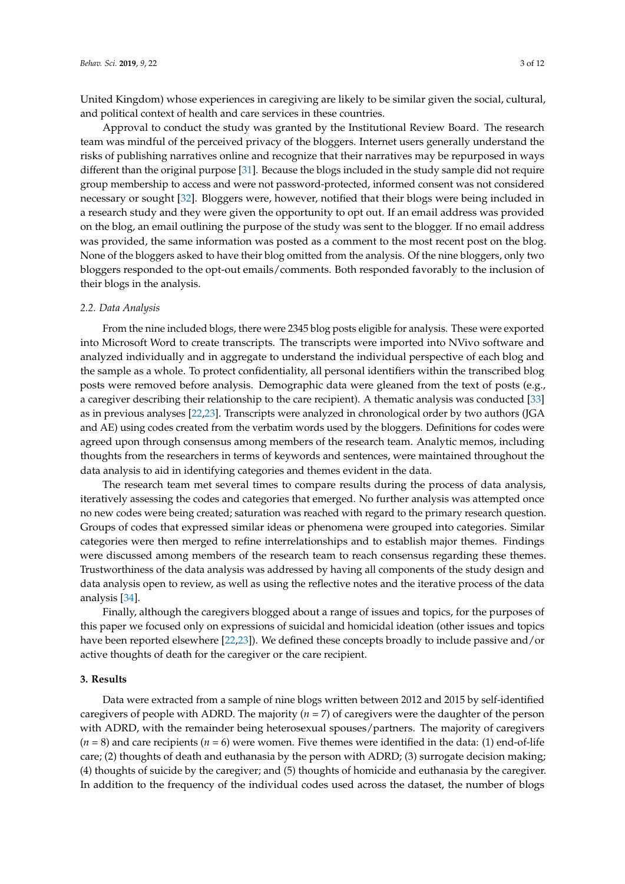United Kingdom) whose experiences in caregiving are likely to be similar given the social, cultural, and political context of health and care services in these countries.

Approval to conduct the study was granted by the Institutional Review Board. The research team was mindful of the perceived privacy of the bloggers. Internet users generally understand the risks of publishing narratives online and recognize that their narratives may be repurposed in ways different than the original purpose [\[31\]](#page-9-13). Because the blogs included in the study sample did not require group membership to access and were not password-protected, informed consent was not considered necessary or sought [\[32\]](#page-9-14). Bloggers were, however, notified that their blogs were being included in a research study and they were given the opportunity to opt out. If an email address was provided on the blog, an email outlining the purpose of the study was sent to the blogger. If no email address was provided, the same information was posted as a comment to the most recent post on the blog. None of the bloggers asked to have their blog omitted from the analysis. Of the nine bloggers, only two bloggers responded to the opt-out emails/comments. Both responded favorably to the inclusion of their blogs in the analysis.

#### *2.2. Data Analysis*

From the nine included blogs, there were 2345 blog posts eligible for analysis. These were exported into Microsoft Word to create transcripts. The transcripts were imported into NVivo software and analyzed individually and in aggregate to understand the individual perspective of each blog and the sample as a whole. To protect confidentiality, all personal identifiers within the transcribed blog posts were removed before analysis. Demographic data were gleaned from the text of posts (e.g., a caregiver describing their relationship to the care recipient). A thematic analysis was conducted [\[33\]](#page-9-15) as in previous analyses [\[22,](#page-9-6)[23\]](#page-9-7). Transcripts were analyzed in chronological order by two authors (JGA and AE) using codes created from the verbatim words used by the bloggers. Definitions for codes were agreed upon through consensus among members of the research team. Analytic memos, including thoughts from the researchers in terms of keywords and sentences, were maintained throughout the data analysis to aid in identifying categories and themes evident in the data.

The research team met several times to compare results during the process of data analysis, iteratively assessing the codes and categories that emerged. No further analysis was attempted once no new codes were being created; saturation was reached with regard to the primary research question. Groups of codes that expressed similar ideas or phenomena were grouped into categories. Similar categories were then merged to refine interrelationships and to establish major themes. Findings were discussed among members of the research team to reach consensus regarding these themes. Trustworthiness of the data analysis was addressed by having all components of the study design and data analysis open to review, as well as using the reflective notes and the iterative process of the data analysis [\[34\]](#page-9-16).

Finally, although the caregivers blogged about a range of issues and topics, for the purposes of this paper we focused only on expressions of suicidal and homicidal ideation (other issues and topics have been reported elsewhere [\[22](#page-9-6)[,23\]](#page-9-7)). We defined these concepts broadly to include passive and/or active thoughts of death for the caregiver or the care recipient.

#### **3. Results**

Data were extracted from a sample of nine blogs written between 2012 and 2015 by self-identified caregivers of people with ADRD. The majority (*n* = 7) of caregivers were the daughter of the person with ADRD, with the remainder being heterosexual spouses/partners. The majority of caregivers  $(n = 8)$  and care recipients  $(n = 6)$  were women. Five themes were identified in the data: (1) end-of-life care; (2) thoughts of death and euthanasia by the person with ADRD; (3) surrogate decision making; (4) thoughts of suicide by the caregiver; and (5) thoughts of homicide and euthanasia by the caregiver. In addition to the frequency of the individual codes used across the dataset, the number of blogs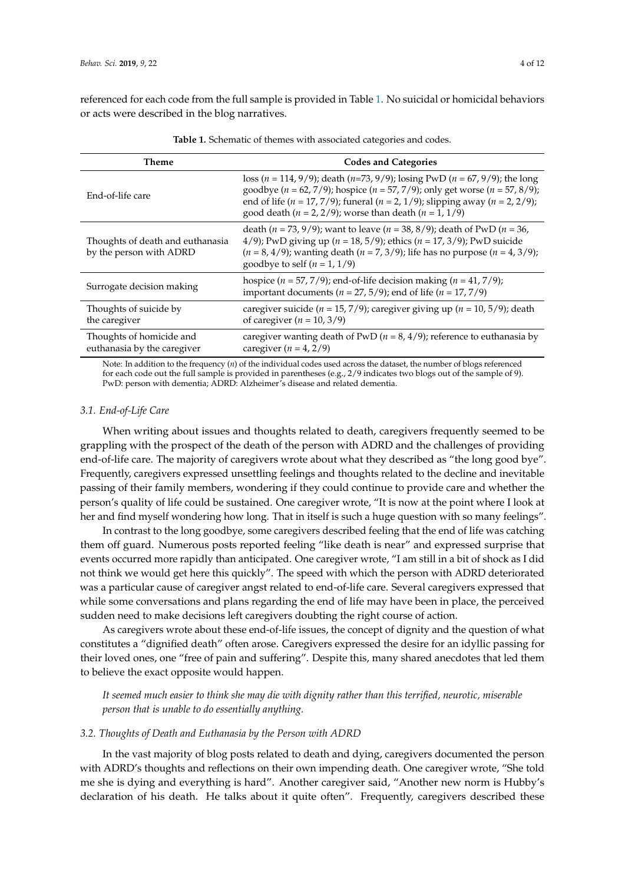referenced for each code from the full sample is provided in Table [1.](#page-3-0) No suicidal or homicidal behaviors or acts were described in the blog narratives.

<span id="page-3-0"></span>

| Theme                                                       | <b>Codes and Categories</b>                                                                                                                                                                                                                                                                                                             |
|-------------------------------------------------------------|-----------------------------------------------------------------------------------------------------------------------------------------------------------------------------------------------------------------------------------------------------------------------------------------------------------------------------------------|
| End-of-life care                                            | $\cos((n = 114, 9/9))$ ; death (n=73, 9/9); losing PwD (n = 67, 9/9); the long<br>goodbye ( $n = 62, 7/9$ ); hospice ( $n = 57, 7/9$ ); only get worse ( $n = 57, 8/9$ );<br>end of life ( $n = 17, 7/9$ ); funeral ( $n = 2, 1/9$ ); slipping away ( $n = 2, 2/9$ );<br>good death ( $n = 2$ , 2/9); worse than death ( $n = 1$ , 1/9) |
| Thoughts of death and euthanasia<br>by the person with ADRD | death ( <i>n</i> = 73, 9/9); want to leave ( <i>n</i> = 38, 8/9); death of PwD ( <i>n</i> = 36,<br>4/9); PwD giving up ( $n = 18, 5/9$ ); ethics ( $n = 17, 3/9$ ); PwD suicide<br>$(n = 8, 4/9)$ ; wanting death $(n = 7, 3/9)$ ; life has no purpose $(n = 4, 3/9)$ ;<br>goodbye to self ( $n = 1, 1/9$ )                             |
| Surrogate decision making                                   | hospice ( $n = 57, 7/9$ ); end-of-life decision making ( $n = 41, 7/9$ );<br>important documents ( $n = 27, 5/9$ ); end of life ( $n = 17, 7/9$ )                                                                                                                                                                                       |
| Thoughts of suicide by<br>the caregiver                     | caregiver suicide ( $n = 15, 7/9$ ); caregiver giving up ( $n = 10, 5/9$ ); death<br>of caregiver $(n = 10, 3/9)$                                                                                                                                                                                                                       |
| Thoughts of homicide and<br>euthanasia by the caregiver     | caregiver wanting death of PwD ( $n = 8$ , 4/9); reference to euthanasia by<br>caregiver ( $n = 4, 2/9$ )                                                                                                                                                                                                                               |

**Table 1.** Schematic of themes with associated categories and codes.

Note: In addition to the frequency (*n*) of the individual codes used across the dataset, the number of blogs referenced for each code out the full sample is provided in parentheses (e.g., 2/9 indicates two blogs out of the sample of 9). PwD: person with dementia; ADRD: Alzheimer's disease and related dementia.

# *3.1. End-of-Life Care*

When writing about issues and thoughts related to death, caregivers frequently seemed to be grappling with the prospect of the death of the person with ADRD and the challenges of providing end-of-life care. The majority of caregivers wrote about what they described as "the long good bye". Frequently, caregivers expressed unsettling feelings and thoughts related to the decline and inevitable passing of their family members, wondering if they could continue to provide care and whether the person's quality of life could be sustained. One caregiver wrote, "It is now at the point where I look at her and find myself wondering how long. That in itself is such a huge question with so many feelings".

In contrast to the long goodbye, some caregivers described feeling that the end of life was catching them off guard. Numerous posts reported feeling "like death is near" and expressed surprise that events occurred more rapidly than anticipated. One caregiver wrote, "I am still in a bit of shock as I did not think we would get here this quickly". The speed with which the person with ADRD deteriorated was a particular cause of caregiver angst related to end-of-life care. Several caregivers expressed that while some conversations and plans regarding the end of life may have been in place, the perceived sudden need to make decisions left caregivers doubting the right course of action.

As caregivers wrote about these end-of-life issues, the concept of dignity and the question of what constitutes a "dignified death" often arose. Caregivers expressed the desire for an idyllic passing for their loved ones, one "free of pain and suffering". Despite this, many shared anecdotes that led them to believe the exact opposite would happen.

*It seemed much easier to think she may die with dignity rather than this terrified, neurotic, miserable person that is unable to do essentially anything.*

#### *3.2. Thoughts of Death and Euthanasia by the Person with ADRD*

In the vast majority of blog posts related to death and dying, caregivers documented the person with ADRD's thoughts and reflections on their own impending death. One caregiver wrote, "She told me she is dying and everything is hard". Another caregiver said, "Another new norm is Hubby's declaration of his death. He talks about it quite often". Frequently, caregivers described these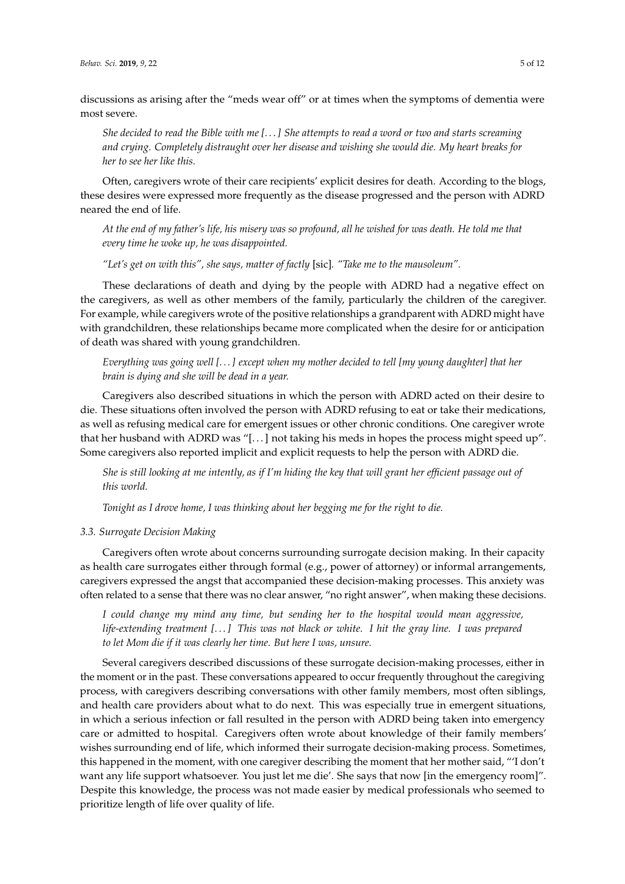discussions as arising after the "meds wear off" or at times when the symptoms of dementia were most severe.

*She decided to read the Bible with me [. . . ] She attempts to read a word or two and starts screaming and crying. Completely distraught over her disease and wishing she would die. My heart breaks for her to see her like this.*

Often, caregivers wrote of their care recipients' explicit desires for death. According to the blogs, these desires were expressed more frequently as the disease progressed and the person with ADRD neared the end of life.

*At the end of my father's life, his misery was so profound, all he wished for was death. He told me that every time he woke up, he was disappointed.*

*"Let's get on with this", she says, matter of factly* [sic]*. "Take me to the mausoleum".*

These declarations of death and dying by the people with ADRD had a negative effect on the caregivers, as well as other members of the family, particularly the children of the caregiver. For example, while caregivers wrote of the positive relationships a grandparent with ADRD might have with grandchildren, these relationships became more complicated when the desire for or anticipation of death was shared with young grandchildren.

*Everything was going well [. . . ] except when my mother decided to tell [my young daughter] that her brain is dying and she will be dead in a year.*

Caregivers also described situations in which the person with ADRD acted on their desire to die. These situations often involved the person with ADRD refusing to eat or take their medications, as well as refusing medical care for emergent issues or other chronic conditions. One caregiver wrote that her husband with ADRD was "[. . . ] not taking his meds in hopes the process might speed up". Some caregivers also reported implicit and explicit requests to help the person with ADRD die.

*She is still looking at me intently, as if I'm hiding the key that will grant her efficient passage out of this world.*

*Tonight as I drove home, I was thinking about her begging me for the right to die.*

# *3.3. Surrogate Decision Making*

Caregivers often wrote about concerns surrounding surrogate decision making. In their capacity as health care surrogates either through formal (e.g., power of attorney) or informal arrangements, caregivers expressed the angst that accompanied these decision-making processes. This anxiety was often related to a sense that there was no clear answer, "no right answer", when making these decisions.

*I could change my mind any time, but sending her to the hospital would mean aggressive, life-extending treatment [. . . ] This was not black or white. I hit the gray line. I was prepared to let Mom die if it was clearly her time. But here I was, unsure.*

Several caregivers described discussions of these surrogate decision-making processes, either in the moment or in the past. These conversations appeared to occur frequently throughout the caregiving process, with caregivers describing conversations with other family members, most often siblings, and health care providers about what to do next. This was especially true in emergent situations, in which a serious infection or fall resulted in the person with ADRD being taken into emergency care or admitted to hospital. Caregivers often wrote about knowledge of their family members' wishes surrounding end of life, which informed their surrogate decision-making process. Sometimes, this happened in the moment, with one caregiver describing the moment that her mother said, "'I don't want any life support whatsoever. You just let me die'. She says that now [in the emergency room]". Despite this knowledge, the process was not made easier by medical professionals who seemed to prioritize length of life over quality of life.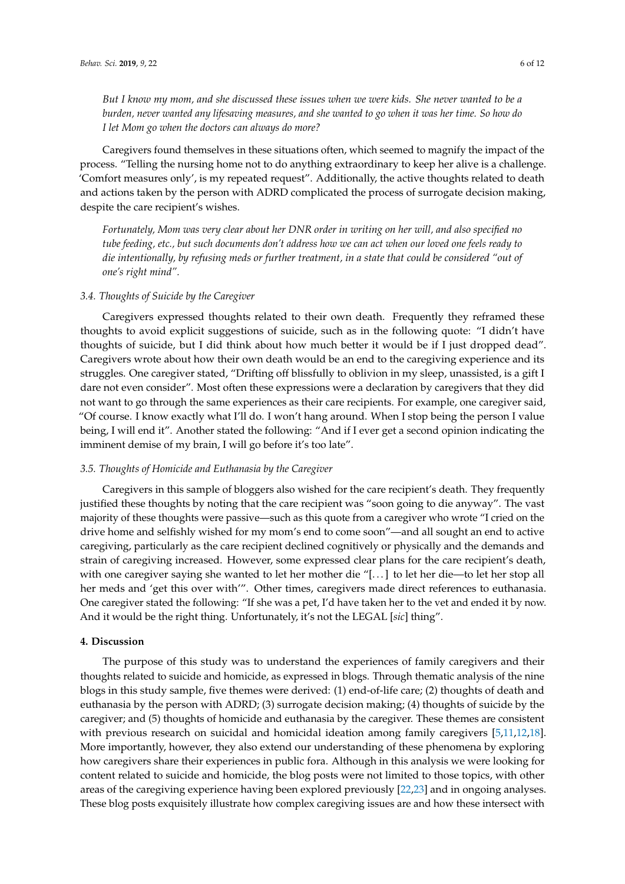*But I know my mom, and she discussed these issues when we were kids. She never wanted to be a burden, never wanted any lifesaving measures, and she wanted to go when it was her time. So how do I let Mom go when the doctors can always do more?*

Caregivers found themselves in these situations often, which seemed to magnify the impact of the process. "Telling the nursing home not to do anything extraordinary to keep her alive is a challenge. 'Comfort measures only', is my repeated request". Additionally, the active thoughts related to death and actions taken by the person with ADRD complicated the process of surrogate decision making, despite the care recipient's wishes.

*Fortunately, Mom was very clear about her DNR order in writing on her will, and also specified no tube feeding, etc., but such documents don't address how we can act when our loved one feels ready to die intentionally, by refusing meds or further treatment, in a state that could be considered "out of one's right mind".*

# *3.4. Thoughts of Suicide by the Caregiver*

Caregivers expressed thoughts related to their own death. Frequently they reframed these thoughts to avoid explicit suggestions of suicide, such as in the following quote: "I didn't have thoughts of suicide, but I did think about how much better it would be if I just dropped dead". Caregivers wrote about how their own death would be an end to the caregiving experience and its struggles. One caregiver stated, "Drifting off blissfully to oblivion in my sleep, unassisted, is a gift I dare not even consider". Most often these expressions were a declaration by caregivers that they did not want to go through the same experiences as their care recipients. For example, one caregiver said, "Of course. I know exactly what I'll do. I won't hang around. When I stop being the person I value being, I will end it". Another stated the following: "And if I ever get a second opinion indicating the imminent demise of my brain, I will go before it's too late".

# *3.5. Thoughts of Homicide and Euthanasia by the Caregiver*

Caregivers in this sample of bloggers also wished for the care recipient's death. They frequently justified these thoughts by noting that the care recipient was "soon going to die anyway". The vast majority of these thoughts were passive—such as this quote from a caregiver who wrote "I cried on the drive home and selfishly wished for my mom's end to come soon"—and all sought an end to active caregiving, particularly as the care recipient declined cognitively or physically and the demands and strain of caregiving increased. However, some expressed clear plans for the care recipient's death, with one caregiver saying she wanted to let her mother die "[...] to let her die—to let her stop all her meds and 'get this over with'". Other times, caregivers made direct references to euthanasia. One caregiver stated the following: "If she was a pet, I'd have taken her to the vet and ended it by now. And it would be the right thing. Unfortunately, it's not the LEGAL [*sic*] thing".

### **4. Discussion**

The purpose of this study was to understand the experiences of family caregivers and their thoughts related to suicide and homicide, as expressed in blogs. Through thematic analysis of the nine blogs in this study sample, five themes were derived: (1) end-of-life care; (2) thoughts of death and euthanasia by the person with ADRD; (3) surrogate decision making; (4) thoughts of suicide by the caregiver; and (5) thoughts of homicide and euthanasia by the caregiver. These themes are consistent with previous research on suicidal and homicidal ideation among family caregivers [\[5,](#page-8-4)[11,](#page-8-10)[12,](#page-8-11)[18\]](#page-9-2). More importantly, however, they also extend our understanding of these phenomena by exploring how caregivers share their experiences in public fora. Although in this analysis we were looking for content related to suicide and homicide, the blog posts were not limited to those topics, with other areas of the caregiving experience having been explored previously [\[22,](#page-9-6)[23\]](#page-9-7) and in ongoing analyses. These blog posts exquisitely illustrate how complex caregiving issues are and how these intersect with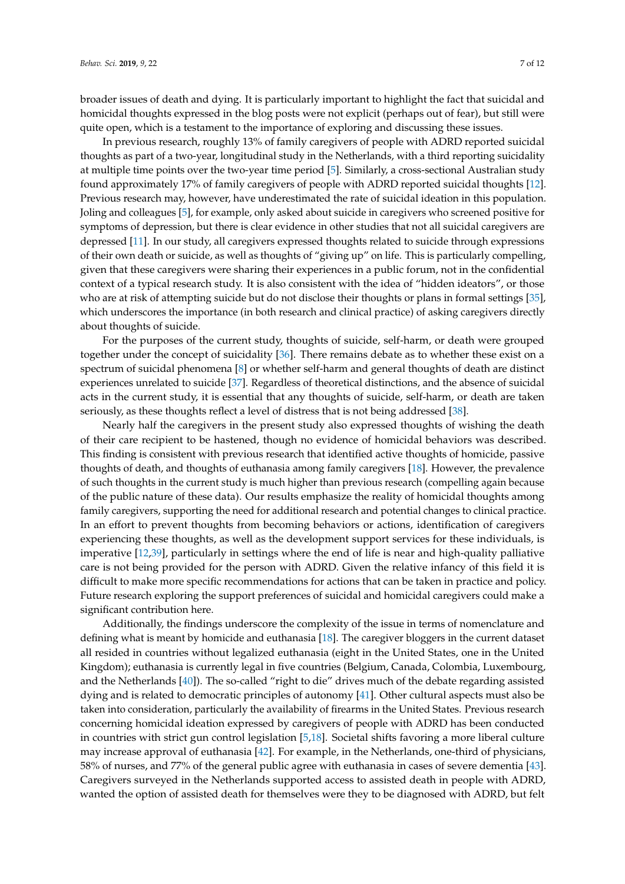broader issues of death and dying. It is particularly important to highlight the fact that suicidal and homicidal thoughts expressed in the blog posts were not explicit (perhaps out of fear), but still were quite open, which is a testament to the importance of exploring and discussing these issues.

In previous research, roughly 13% of family caregivers of people with ADRD reported suicidal thoughts as part of a two-year, longitudinal study in the Netherlands, with a third reporting suicidality at multiple time points over the two-year time period [\[5\]](#page-8-4). Similarly, a cross-sectional Australian study found approximately 17% of family caregivers of people with ADRD reported suicidal thoughts [\[12\]](#page-8-11). Previous research may, however, have underestimated the rate of suicidal ideation in this population. Joling and colleagues [\[5\]](#page-8-4), for example, only asked about suicide in caregivers who screened positive for symptoms of depression, but there is clear evidence in other studies that not all suicidal caregivers are depressed [\[11\]](#page-8-10). In our study, all caregivers expressed thoughts related to suicide through expressions of their own death or suicide, as well as thoughts of "giving up" on life. This is particularly compelling, given that these caregivers were sharing their experiences in a public forum, not in the confidential context of a typical research study. It is also consistent with the idea of "hidden ideators", or those who are at risk of attempting suicide but do not disclose their thoughts or plans in formal settings [\[35\]](#page-9-17), which underscores the importance (in both research and clinical practice) of asking caregivers directly about thoughts of suicide.

For the purposes of the current study, thoughts of suicide, self-harm, or death were grouped together under the concept of suicidality [\[36\]](#page-9-18). There remains debate as to whether these exist on a spectrum of suicidal phenomena [\[8\]](#page-8-7) or whether self-harm and general thoughts of death are distinct experiences unrelated to suicide [\[37\]](#page-10-0). Regardless of theoretical distinctions, and the absence of suicidal acts in the current study, it is essential that any thoughts of suicide, self-harm, or death are taken seriously, as these thoughts reflect a level of distress that is not being addressed [\[38\]](#page-10-1).

Nearly half the caregivers in the present study also expressed thoughts of wishing the death of their care recipient to be hastened, though no evidence of homicidal behaviors was described. This finding is consistent with previous research that identified active thoughts of homicide, passive thoughts of death, and thoughts of euthanasia among family caregivers [\[18\]](#page-9-2). However, the prevalence of such thoughts in the current study is much higher than previous research (compelling again because of the public nature of these data). Our results emphasize the reality of homicidal thoughts among family caregivers, supporting the need for additional research and potential changes to clinical practice. In an effort to prevent thoughts from becoming behaviors or actions, identification of caregivers experiencing these thoughts, as well as the development support services for these individuals, is imperative [\[12,](#page-8-11)[39\]](#page-10-2), particularly in settings where the end of life is near and high-quality palliative care is not being provided for the person with ADRD. Given the relative infancy of this field it is difficult to make more specific recommendations for actions that can be taken in practice and policy. Future research exploring the support preferences of suicidal and homicidal caregivers could make a significant contribution here.

Additionally, the findings underscore the complexity of the issue in terms of nomenclature and defining what is meant by homicide and euthanasia [\[18\]](#page-9-2). The caregiver bloggers in the current dataset all resided in countries without legalized euthanasia (eight in the United States, one in the United Kingdom); euthanasia is currently legal in five countries (Belgium, Canada, Colombia, Luxembourg, and the Netherlands [\[40\]](#page-10-3)). The so-called "right to die" drives much of the debate regarding assisted dying and is related to democratic principles of autonomy [\[41\]](#page-10-4). Other cultural aspects must also be taken into consideration, particularly the availability of firearms in the United States. Previous research concerning homicidal ideation expressed by caregivers of people with ADRD has been conducted in countries with strict gun control legislation [\[5](#page-8-4)[,18\]](#page-9-2). Societal shifts favoring a more liberal culture may increase approval of euthanasia [\[42\]](#page-10-5). For example, in the Netherlands, one-third of physicians, 58% of nurses, and 77% of the general public agree with euthanasia in cases of severe dementia [\[43\]](#page-10-6). Caregivers surveyed in the Netherlands supported access to assisted death in people with ADRD, wanted the option of assisted death for themselves were they to be diagnosed with ADRD, but felt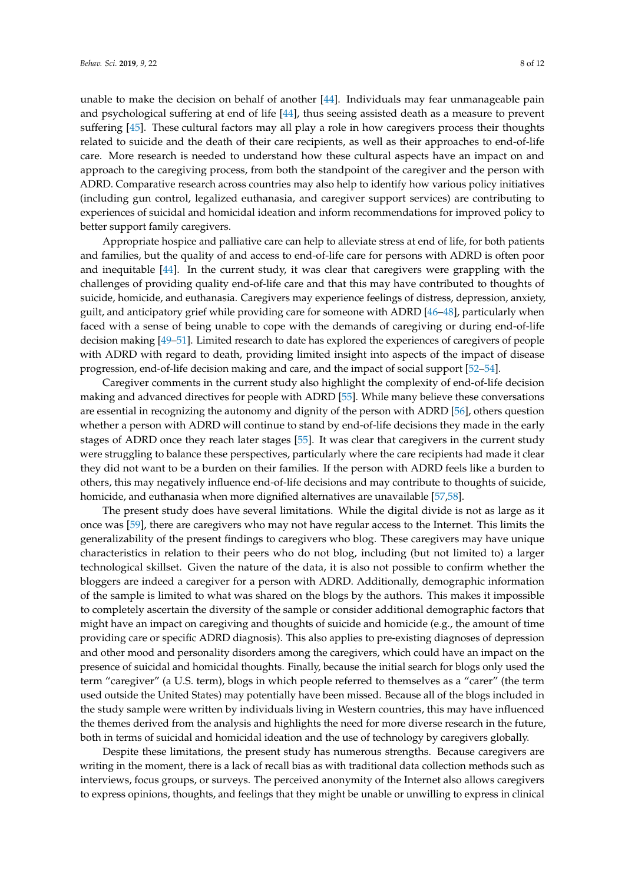unable to make the decision on behalf of another [\[44\]](#page-10-7). Individuals may fear unmanageable pain and psychological suffering at end of life [\[44\]](#page-10-7), thus seeing assisted death as a measure to prevent suffering [\[45\]](#page-10-8). These cultural factors may all play a role in how caregivers process their thoughts related to suicide and the death of their care recipients, as well as their approaches to end-of-life care. More research is needed to understand how these cultural aspects have an impact on and approach to the caregiving process, from both the standpoint of the caregiver and the person with ADRD. Comparative research across countries may also help to identify how various policy initiatives (including gun control, legalized euthanasia, and caregiver support services) are contributing to experiences of suicidal and homicidal ideation and inform recommendations for improved policy to better support family caregivers.

Appropriate hospice and palliative care can help to alleviate stress at end of life, for both patients and families, but the quality of and access to end-of-life care for persons with ADRD is often poor and inequitable [\[44\]](#page-10-7). In the current study, it was clear that caregivers were grappling with the challenges of providing quality end-of-life care and that this may have contributed to thoughts of suicide, homicide, and euthanasia. Caregivers may experience feelings of distress, depression, anxiety, guilt, and anticipatory grief while providing care for someone with ADRD [\[46](#page-10-9)[–48\]](#page-10-10), particularly when faced with a sense of being unable to cope with the demands of caregiving or during end-of-life decision making [\[49](#page-10-11)[–51\]](#page-10-12). Limited research to date has explored the experiences of caregivers of people with ADRD with regard to death, providing limited insight into aspects of the impact of disease progression, end-of-life decision making and care, and the impact of social support [\[52–](#page-10-13)[54\]](#page-10-14).

Caregiver comments in the current study also highlight the complexity of end-of-life decision making and advanced directives for people with ADRD [\[55\]](#page-10-15). While many believe these conversations are essential in recognizing the autonomy and dignity of the person with ADRD [\[56\]](#page-10-16), others question whether a person with ADRD will continue to stand by end-of-life decisions they made in the early stages of ADRD once they reach later stages [\[55\]](#page-10-15). It was clear that caregivers in the current study were struggling to balance these perspectives, particularly where the care recipients had made it clear they did not want to be a burden on their families. If the person with ADRD feels like a burden to others, this may negatively influence end-of-life decisions and may contribute to thoughts of suicide, homicide, and euthanasia when more dignified alternatives are unavailable [\[57,](#page-10-17)[58\]](#page-11-0).

The present study does have several limitations. While the digital divide is not as large as it once was [\[59\]](#page-11-1), there are caregivers who may not have regular access to the Internet. This limits the generalizability of the present findings to caregivers who blog. These caregivers may have unique characteristics in relation to their peers who do not blog, including (but not limited to) a larger technological skillset. Given the nature of the data, it is also not possible to confirm whether the bloggers are indeed a caregiver for a person with ADRD. Additionally, demographic information of the sample is limited to what was shared on the blogs by the authors. This makes it impossible to completely ascertain the diversity of the sample or consider additional demographic factors that might have an impact on caregiving and thoughts of suicide and homicide (e.g., the amount of time providing care or specific ADRD diagnosis). This also applies to pre-existing diagnoses of depression and other mood and personality disorders among the caregivers, which could have an impact on the presence of suicidal and homicidal thoughts. Finally, because the initial search for blogs only used the term "caregiver" (a U.S. term), blogs in which people referred to themselves as a "carer" (the term used outside the United States) may potentially have been missed. Because all of the blogs included in the study sample were written by individuals living in Western countries, this may have influenced the themes derived from the analysis and highlights the need for more diverse research in the future, both in terms of suicidal and homicidal ideation and the use of technology by caregivers globally.

Despite these limitations, the present study has numerous strengths. Because caregivers are writing in the moment, there is a lack of recall bias as with traditional data collection methods such as interviews, focus groups, or surveys. The perceived anonymity of the Internet also allows caregivers to express opinions, thoughts, and feelings that they might be unable or unwilling to express in clinical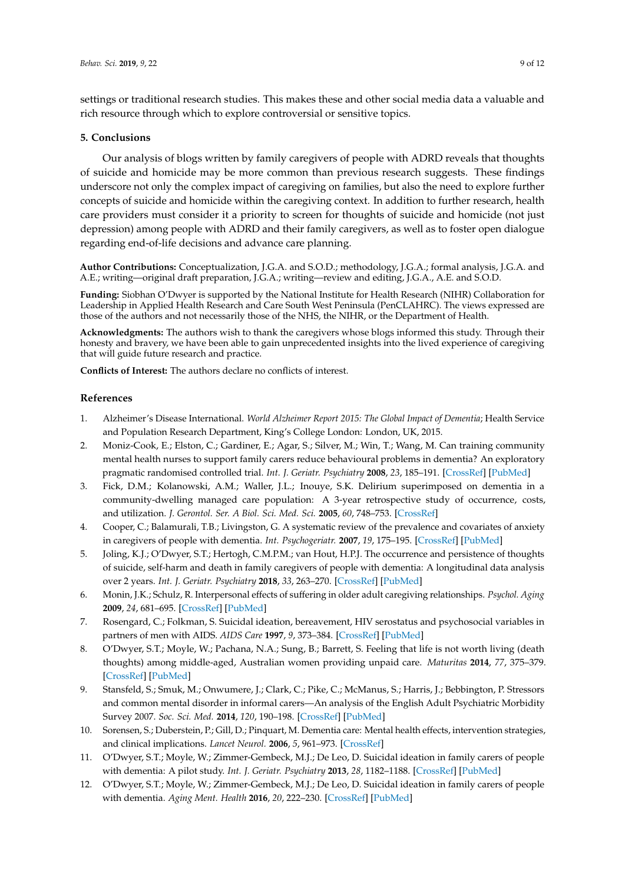settings or traditional research studies. This makes these and other social media data a valuable and rich resource through which to explore controversial or sensitive topics.

#### **5. Conclusions**

Our analysis of blogs written by family caregivers of people with ADRD reveals that thoughts of suicide and homicide may be more common than previous research suggests. These findings underscore not only the complex impact of caregiving on families, but also the need to explore further concepts of suicide and homicide within the caregiving context. In addition to further research, health care providers must consider it a priority to screen for thoughts of suicide and homicide (not just depression) among people with ADRD and their family caregivers, as well as to foster open dialogue regarding end-of-life decisions and advance care planning.

**Author Contributions:** Conceptualization, J.G.A. and S.O.D.; methodology, J.G.A.; formal analysis, J.G.A. and A.E.; writing—original draft preparation, J.G.A.; writing—review and editing, J.G.A., A.E. and S.O.D.

**Funding:** Siobhan O'Dwyer is supported by the National Institute for Health Research (NIHR) Collaboration for Leadership in Applied Health Research and Care South West Peninsula (PenCLAHRC). The views expressed are those of the authors and not necessarily those of the NHS, the NIHR, or the Department of Health.

**Acknowledgments:** The authors wish to thank the caregivers whose blogs informed this study. Through their honesty and bravery, we have been able to gain unprecedented insights into the lived experience of caregiving that will guide future research and practice.

**Conflicts of Interest:** The authors declare no conflicts of interest.

# **References**

- <span id="page-8-0"></span>1. Alzheimer's Disease International. *World Alzheimer Report 2015: The Global Impact of Dementia*; Health Service and Population Research Department, King's College London: London, UK, 2015.
- <span id="page-8-1"></span>2. Moniz-Cook, E.; Elston, C.; Gardiner, E.; Agar, S.; Silver, M.; Win, T.; Wang, M. Can training community mental health nurses to support family carers reduce behavioural problems in dementia? An exploratory pragmatic randomised controlled trial. *Int. J. Geriatr. Psychiatry* **2008**, *23*, 185–191. [\[CrossRef\]](http://dx.doi.org/10.1002/gps.1860) [\[PubMed\]](http://www.ncbi.nlm.nih.gov/pubmed/17621379)
- <span id="page-8-2"></span>3. Fick, D.M.; Kolanowski, A.M.; Waller, J.L.; Inouye, S.K. Delirium superimposed on dementia in a community-dwelling managed care population: A 3-year retrospective study of occurrence, costs, and utilization. *J. Gerontol. Ser. A Biol. Sci. Med. Sci.* **2005**, *60*, 748–753. [\[CrossRef\]](http://dx.doi.org/10.1093/gerona/60.6.748)
- <span id="page-8-3"></span>4. Cooper, C.; Balamurali, T.B.; Livingston, G. A systematic review of the prevalence and covariates of anxiety in caregivers of people with dementia. *Int. Psychogeriatr.* **2007**, *19*, 175–195. [\[CrossRef\]](http://dx.doi.org/10.1017/S1041610206004297) [\[PubMed\]](http://www.ncbi.nlm.nih.gov/pubmed/17005068)
- <span id="page-8-4"></span>5. Joling, K.J.; O'Dwyer, S.T.; Hertogh, C.M.P.M.; van Hout, H.P.J. The occurrence and persistence of thoughts of suicide, self-harm and death in family caregivers of people with dementia: A longitudinal data analysis over 2 years. *Int. J. Geriatr. Psychiatry* **2018**, *33*, 263–270. [\[CrossRef\]](http://dx.doi.org/10.1002/gps.4708) [\[PubMed\]](http://www.ncbi.nlm.nih.gov/pubmed/28379646)
- <span id="page-8-5"></span>6. Monin, J.K.; Schulz, R. Interpersonal effects of suffering in older adult caregiving relationships. *Psychol. Aging* **2009**, *24*, 681–695. [\[CrossRef\]](http://dx.doi.org/10.1037/a0016355) [\[PubMed\]](http://www.ncbi.nlm.nih.gov/pubmed/19739924)
- <span id="page-8-6"></span>7. Rosengard, C.; Folkman, S. Suicidal ideation, bereavement, HIV serostatus and psychosocial variables in partners of men with AIDS. *AIDS Care* **1997**, *9*, 373–384. [\[CrossRef\]](http://dx.doi.org/10.1080/713613168) [\[PubMed\]](http://www.ncbi.nlm.nih.gov/pubmed/9337882)
- <span id="page-8-7"></span>8. O'Dwyer, S.T.; Moyle, W.; Pachana, N.A.; Sung, B.; Barrett, S. Feeling that life is not worth living (death thoughts) among middle-aged, Australian women providing unpaid care. *Maturitas* **2014**, *77*, 375–379. [\[CrossRef\]](http://dx.doi.org/10.1016/j.maturitas.2014.01.013) [\[PubMed\]](http://www.ncbi.nlm.nih.gov/pubmed/24602554)
- <span id="page-8-8"></span>9. Stansfeld, S.; Smuk, M.; Onwumere, J.; Clark, C.; Pike, C.; McManus, S.; Harris, J.; Bebbington, P. Stressors and common mental disorder in informal carers—An analysis of the English Adult Psychiatric Morbidity Survey 2007. *Soc. Sci. Med.* **2014**, *120*, 190–198. [\[CrossRef\]](http://dx.doi.org/10.1016/j.socscimed.2014.09.025) [\[PubMed\]](http://www.ncbi.nlm.nih.gov/pubmed/25259657)
- <span id="page-8-9"></span>10. Sorensen, S.; Duberstein, P.; Gill, D.; Pinquart, M. Dementia care: Mental health effects, intervention strategies, and clinical implications. *Lancet Neurol.* **2006**, *5*, 961–973. [\[CrossRef\]](http://dx.doi.org/10.1016/S1474-4422(06)70599-3)
- <span id="page-8-10"></span>11. O'Dwyer, S.T.; Moyle, W.; Zimmer-Gembeck, M.J.; De Leo, D. Suicidal ideation in family carers of people with dementia: A pilot study. *Int. J. Geriatr. Psychiatry* **2013**, *28*, 1182–1188. [\[CrossRef\]](http://dx.doi.org/10.1002/gps.3941) [\[PubMed\]](http://www.ncbi.nlm.nih.gov/pubmed/23456660)
- <span id="page-8-11"></span>12. O'Dwyer, S.T.; Moyle, W.; Zimmer-Gembeck, M.J.; De Leo, D. Suicidal ideation in family carers of people with dementia. *Aging Ment. Health* **2016**, *20*, 222–230. [\[CrossRef\]](http://dx.doi.org/10.1080/13607863.2015.1063109) [\[PubMed\]](http://www.ncbi.nlm.nih.gov/pubmed/26161825)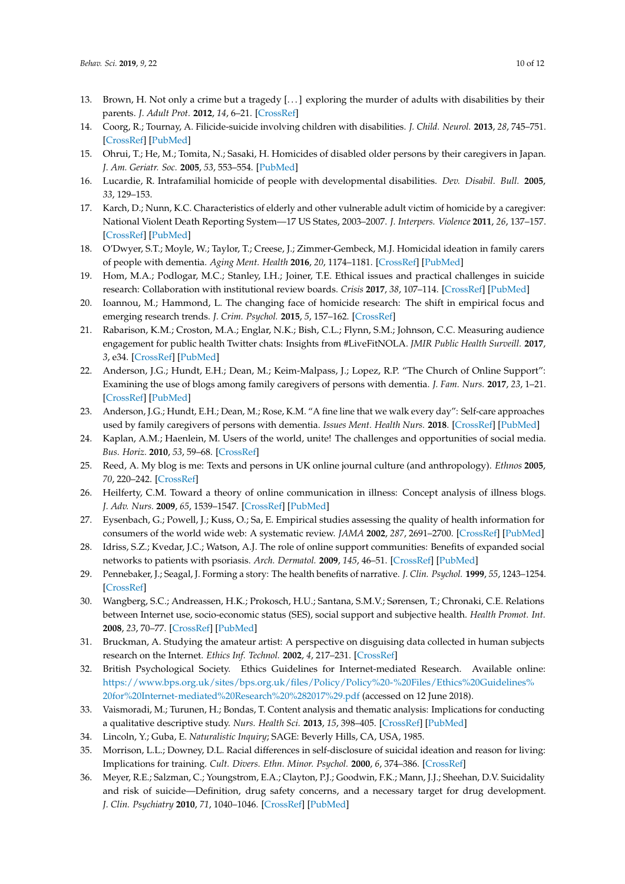- <span id="page-9-0"></span>13. Brown, H. Not only a crime but a tragedy [. . . ] exploring the murder of adults with disabilities by their parents. *J. Adult Prot.* **2012**, *14*, 6–21. [\[CrossRef\]](http://dx.doi.org/10.1108/14668201211200763)
- 14. Coorg, R.; Tournay, A. Filicide-suicide involving children with disabilities. *J. Child. Neurol.* **2013**, *28*, 745–751. [\[CrossRef\]](http://dx.doi.org/10.1177/0883073812451777) [\[PubMed\]](http://www.ncbi.nlm.nih.gov/pubmed/22826515)
- 15. Ohrui, T.; He, M.; Tomita, N.; Sasaki, H. Homicides of disabled older persons by their caregivers in Japan. *J. Am. Geriatr. Soc.* **2005**, *53*, 553–554. [\[PubMed\]](http://www.ncbi.nlm.nih.gov/pubmed/15743315)
- 16. Lucardie, R. Intrafamilial homicide of people with developmental disabilities. *Dev. Disabil. Bull.* **2005**, *33*, 129–153.
- <span id="page-9-1"></span>17. Karch, D.; Nunn, K.C. Characteristics of elderly and other vulnerable adult victim of homicide by a caregiver: National Violent Death Reporting System—17 US States, 2003–2007. *J. Interpers. Violence* **2011**, *26*, 137–157. [\[CrossRef\]](http://dx.doi.org/10.1177/0886260510362890) [\[PubMed\]](http://www.ncbi.nlm.nih.gov/pubmed/20442452)
- <span id="page-9-2"></span>18. O'Dwyer, S.T.; Moyle, W.; Taylor, T.; Creese, J.; Zimmer-Gembeck, M.J. Homicidal ideation in family carers of people with dementia. *Aging Ment. Health* **2016**, *20*, 1174–1181. [\[CrossRef\]](http://dx.doi.org/10.1080/13607863.2015.1065793) [\[PubMed\]](http://www.ncbi.nlm.nih.gov/pubmed/26189537)
- <span id="page-9-3"></span>19. Hom, M.A.; Podlogar, M.C.; Stanley, I.H.; Joiner, T.E. Ethical issues and practical challenges in suicide research: Collaboration with institutional review boards. *Crisis* **2017**, *38*, 107–114. [\[CrossRef\]](http://dx.doi.org/10.1027/0227-5910/a000415) [\[PubMed\]](http://www.ncbi.nlm.nih.gov/pubmed/27561221)
- <span id="page-9-4"></span>20. Ioannou, M.; Hammond, L. The changing face of homicide research: The shift in empirical focus and emerging research trends. *J. Crim. Psychol.* **2015**, *5*, 157–162. [\[CrossRef\]](http://dx.doi.org/10.1108/JCP-06-2015-0019)
- <span id="page-9-5"></span>21. Rabarison, K.M.; Croston, M.A.; Englar, N.K.; Bish, C.L.; Flynn, S.M.; Johnson, C.C. Measuring audience engagement for public health Twitter chats: Insights from #LiveFitNOLA. *JMIR Public Health Surveill.* **2017**, *3*, e34. [\[CrossRef\]](http://dx.doi.org/10.2196/publichealth.7181) [\[PubMed\]](http://www.ncbi.nlm.nih.gov/pubmed/28596149)
- <span id="page-9-6"></span>22. Anderson, J.G.; Hundt, E.H.; Dean, M.; Keim-Malpass, J.; Lopez, R.P. "The Church of Online Support": Examining the use of blogs among family caregivers of persons with dementia. *J. Fam. Nurs.* **2017**, *23*, 1–21. [\[CrossRef\]](http://dx.doi.org/10.1177/1074840716681289) [\[PubMed\]](http://www.ncbi.nlm.nih.gov/pubmed/27920340)
- <span id="page-9-7"></span>23. Anderson, J.G.; Hundt, E.H.; Dean, M.; Rose, K.M. "A fine line that we walk every day": Self-care approaches used by family caregivers of persons with dementia. *Issues Ment. Health Nurs.* **2018**. [\[CrossRef\]](http://dx.doi.org/10.1080/01612840.2018.1499156) [\[PubMed\]](http://www.ncbi.nlm.nih.gov/pubmed/30422041)
- <span id="page-9-8"></span>24. Kaplan, A.M.; Haenlein, M. Users of the world, unite! The challenges and opportunities of social media. *Bus. Horiz.* **2010**, *53*, 59–68. [\[CrossRef\]](http://dx.doi.org/10.1016/j.bushor.2009.09.003)
- <span id="page-9-9"></span>25. Reed, A. My blog is me: Texts and persons in UK online journal culture (and anthropology). *Ethnos* **2005**, *70*, 220–242. [\[CrossRef\]](http://dx.doi.org/10.1080/00141840500141311)
- <span id="page-9-10"></span>26. Heilferty, C.M. Toward a theory of online communication in illness: Concept analysis of illness blogs. *J. Adv. Nurs.* **2009**, *65*, 1539–1547. [\[CrossRef\]](http://dx.doi.org/10.1111/j.1365-2648.2009.04996.x) [\[PubMed\]](http://www.ncbi.nlm.nih.gov/pubmed/19457009)
- <span id="page-9-11"></span>27. Eysenbach, G.; Powell, J.; Kuss, O.; Sa, E. Empirical studies assessing the quality of health information for consumers of the world wide web: A systematic review. *JAMA* **2002**, *287*, 2691–2700. [\[CrossRef\]](http://dx.doi.org/10.1001/jama.287.20.2691) [\[PubMed\]](http://www.ncbi.nlm.nih.gov/pubmed/12020305)
- 28. Idriss, S.Z.; Kvedar, J.C.; Watson, A.J. The role of online support communities: Benefits of expanded social networks to patients with psoriasis. *Arch. Dermatol.* **2009**, *145*, 46–51. [\[CrossRef\]](http://dx.doi.org/10.1001/archdermatol.2008.529) [\[PubMed\]](http://www.ncbi.nlm.nih.gov/pubmed/19153342)
- 29. Pennebaker, J.; Seagal, J. Forming a story: The health benefits of narrative. *J. Clin. Psychol.* **1999**, *55*, 1243–1254. [\[CrossRef\]](http://dx.doi.org/10.1002/(SICI)1097-4679(199910)55:10<1243::AID-JCLP6>3.0.CO;2-N)
- <span id="page-9-12"></span>30. Wangberg, S.C.; Andreassen, H.K.; Prokosch, H.U.; Santana, S.M.V.; Sørensen, T.; Chronaki, C.E. Relations between Internet use, socio-economic status (SES), social support and subjective health. *Health Promot. Int.* **2008**, *23*, 70–77. [\[CrossRef\]](http://dx.doi.org/10.1093/heapro/dam039) [\[PubMed\]](http://www.ncbi.nlm.nih.gov/pubmed/18083686)
- <span id="page-9-13"></span>31. Bruckman, A. Studying the amateur artist: A perspective on disguising data collected in human subjects research on the Internet. *Ethics Inf. Technol.* **2002**, *4*, 217–231. [\[CrossRef\]](http://dx.doi.org/10.1023/A:1021316409277)
- <span id="page-9-14"></span>32. British Psychological Society. Ethics Guidelines for Internet-mediated Research. Available online: [https://www.bps.org.uk/sites/bps.org.uk/files/Policy/Policy%20-%20Files/Ethics%20Guidelines%](https://www.bps.org.uk/sites/bps.org.uk/files/Policy/Policy%20-%20Files/Ethics%20Guidelines%20for%20Internet-mediated%20Research%20%282017%29.pdf) [20for%20Internet-mediated%20Research%20%282017%29.pdf](https://www.bps.org.uk/sites/bps.org.uk/files/Policy/Policy%20-%20Files/Ethics%20Guidelines%20for%20Internet-mediated%20Research%20%282017%29.pdf) (accessed on 12 June 2018).
- <span id="page-9-15"></span>33. Vaismoradi, M.; Turunen, H.; Bondas, T. Content analysis and thematic analysis: Implications for conducting a qualitative descriptive study. *Nurs. Health Sci.* **2013**, *15*, 398–405. [\[CrossRef\]](http://dx.doi.org/10.1111/nhs.12048) [\[PubMed\]](http://www.ncbi.nlm.nih.gov/pubmed/23480423)
- <span id="page-9-16"></span>34. Lincoln, Y.; Guba, E. *Naturalistic Inquiry*; SAGE: Beverly Hills, CA, USA, 1985.
- <span id="page-9-17"></span>35. Morrison, L.L.; Downey, D.L. Racial differences in self-disclosure of suicidal ideation and reason for living: Implications for training. *Cult. Divers. Ethn. Minor. Psychol.* **2000**, *6*, 374–386. [\[CrossRef\]](http://dx.doi.org/10.1037/1099-9809.6.4.374)
- <span id="page-9-18"></span>36. Meyer, R.E.; Salzman, C.; Youngstrom, E.A.; Clayton, P.J.; Goodwin, F.K.; Mann, J.J.; Sheehan, D.V. Suicidality and risk of suicide—Definition, drug safety concerns, and a necessary target for drug development. *J. Clin. Psychiatry* **2010**, *71*, 1040–1046. [\[CrossRef\]](http://dx.doi.org/10.4088/JCP.10cs06070ablu) [\[PubMed\]](http://www.ncbi.nlm.nih.gov/pubmed/20673551)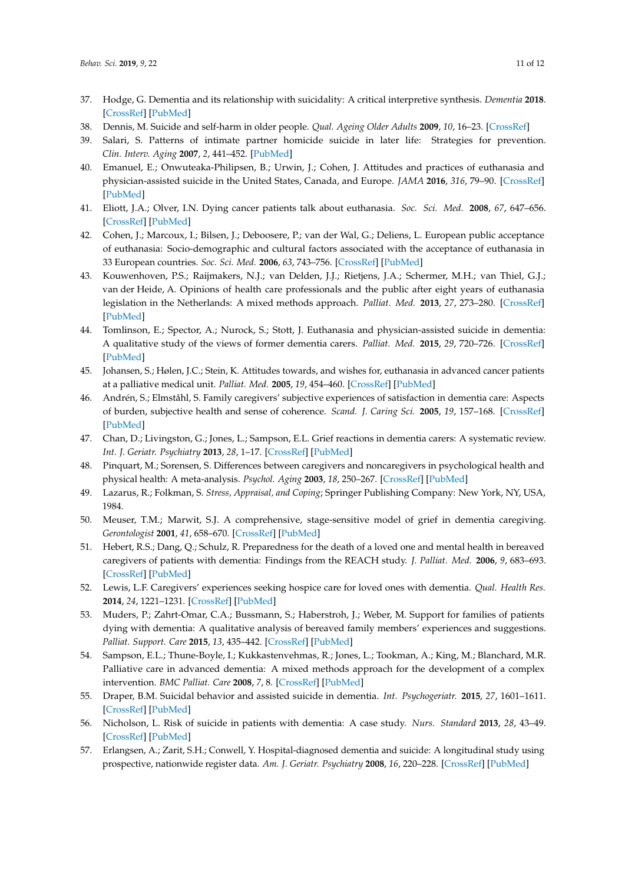- <span id="page-10-0"></span>37. Hodge, G. Dementia and its relationship with suicidality: A critical interpretive synthesis. *Dementia* **2018**. [\[CrossRef\]](http://dx.doi.org/10.1177/1471301218799871) [\[PubMed\]](http://www.ncbi.nlm.nih.gov/pubmed/30217115)
- <span id="page-10-1"></span>38. Dennis, M. Suicide and self-harm in older people. *Qual. Ageing Older Adults* **2009**, *10*, 16–23. [\[CrossRef\]](http://dx.doi.org/10.1108/14717794200900004)
- <span id="page-10-2"></span>39. Salari, S. Patterns of intimate partner homicide suicide in later life: Strategies for prevention. *Clin. Interv. Aging* **2007**, *2*, 441–452. [\[PubMed\]](http://www.ncbi.nlm.nih.gov/pubmed/18044194)
- <span id="page-10-3"></span>40. Emanuel, E.; Onwuteaka-Philipsen, B.; Urwin, J.; Cohen, J. Attitudes and practices of euthanasia and physician-assisted suicide in the United States, Canada, and Europe. *JAMA* **2016**, *316*, 79–90. [\[CrossRef\]](http://dx.doi.org/10.1001/jama.2016.8499) [\[PubMed\]](http://www.ncbi.nlm.nih.gov/pubmed/27380345)
- <span id="page-10-4"></span>41. Eliott, J.A.; Olver, I.N. Dying cancer patients talk about euthanasia. *Soc. Sci. Med.* **2008**, *67*, 647–656. [\[CrossRef\]](http://dx.doi.org/10.1016/j.socscimed.2008.04.004) [\[PubMed\]](http://www.ncbi.nlm.nih.gov/pubmed/18514992)
- <span id="page-10-5"></span>42. Cohen, J.; Marcoux, I.; Bilsen, J.; Deboosere, P.; van der Wal, G.; Deliens, L. European public acceptance of euthanasia: Socio-demographic and cultural factors associated with the acceptance of euthanasia in 33 European countries. *Soc. Sci. Med.* **2006**, *63*, 743–756. [\[CrossRef\]](http://dx.doi.org/10.1016/j.socscimed.2006.01.026) [\[PubMed\]](http://www.ncbi.nlm.nih.gov/pubmed/16537097)
- <span id="page-10-6"></span>43. Kouwenhoven, P.S.; Raijmakers, N.J.; van Delden, J.J.; Rietjens, J.A.; Schermer, M.H.; van Thiel, G.J.; van der Heide, A. Opinions of health care professionals and the public after eight years of euthanasia legislation in the Netherlands: A mixed methods approach. *Palliat. Med.* **2013**, *27*, 273–280. [\[CrossRef\]](http://dx.doi.org/10.1177/0269216312448507) [\[PubMed\]](http://www.ncbi.nlm.nih.gov/pubmed/22695742)
- <span id="page-10-7"></span>44. Tomlinson, E.; Spector, A.; Nurock, S.; Stott, J. Euthanasia and physician-assisted suicide in dementia: A qualitative study of the views of former dementia carers. *Palliat. Med.* **2015**, *29*, 720–726. [\[CrossRef\]](http://dx.doi.org/10.1177/0269216315582143) [\[PubMed\]](http://www.ncbi.nlm.nih.gov/pubmed/25881624)
- <span id="page-10-8"></span>45. Johansen, S.; Hølen, J.C.; Stein, K. Attitudes towards, and wishes for, euthanasia in advanced cancer patients at a palliative medical unit. *Palliat. Med.* **2005**, *19*, 454–460. [\[CrossRef\]](http://dx.doi.org/10.1191/0269216305pm1048oa) [\[PubMed\]](http://www.ncbi.nlm.nih.gov/pubmed/16218157)
- <span id="page-10-9"></span>46. Andrén, S.; Elmståhl, S. Family caregivers' subjective experiences of satisfaction in dementia care: Aspects of burden, subjective health and sense of coherence. *Scand. J. Caring Sci.* **2005**, *19*, 157–168. [\[CrossRef\]](http://dx.doi.org/10.1111/j.1471-6712.2005.00328.x) [\[PubMed\]](http://www.ncbi.nlm.nih.gov/pubmed/15877641)
- 47. Chan, D.; Livingston, G.; Jones, L.; Sampson, E.L. Grief reactions in dementia carers: A systematic review. *Int. J. Geriatr. Psychiatry* **2013**, *28*, 1–17. [\[CrossRef\]](http://dx.doi.org/10.1002/gps.3795) [\[PubMed\]](http://www.ncbi.nlm.nih.gov/pubmed/22407743)
- <span id="page-10-10"></span>48. Pinquart, M.; Sorensen, S. Differences between caregivers and noncaregivers in psychological health and physical health: A meta-analysis. *Psychol. Aging* **2003**, *18*, 250–267. [\[CrossRef\]](http://dx.doi.org/10.1037/0882-7974.18.2.250) [\[PubMed\]](http://www.ncbi.nlm.nih.gov/pubmed/12825775)
- <span id="page-10-11"></span>49. Lazarus, R.; Folkman, S. *Stress, Appraisal, and Coping*; Springer Publishing Company: New York, NY, USA, 1984.
- 50. Meuser, T.M.; Marwit, S.J. A comprehensive, stage-sensitive model of grief in dementia caregiving. *Gerontologist* **2001**, *41*, 658–670. [\[CrossRef\]](http://dx.doi.org/10.1093/geront/41.5.658) [\[PubMed\]](http://www.ncbi.nlm.nih.gov/pubmed/11574711)
- <span id="page-10-12"></span>51. Hebert, R.S.; Dang, Q.; Schulz, R. Preparedness for the death of a loved one and mental health in bereaved caregivers of patients with dementia: Findings from the REACH study. *J. Palliat. Med.* **2006**, *9*, 683–693. [\[CrossRef\]](http://dx.doi.org/10.1089/jpm.2006.9.683) [\[PubMed\]](http://www.ncbi.nlm.nih.gov/pubmed/16752974)
- <span id="page-10-13"></span>52. Lewis, L.F. Caregivers' experiences seeking hospice care for loved ones with dementia. *Qual. Health Res.* **2014**, *24*, 1221–1231. [\[CrossRef\]](http://dx.doi.org/10.1177/1049732314545888) [\[PubMed\]](http://www.ncbi.nlm.nih.gov/pubmed/25079503)
- 53. Muders, P.; Zahrt-Omar, C.A.; Bussmann, S.; Haberstroh, J.; Weber, M. Support for families of patients dying with dementia: A qualitative analysis of bereaved family members' experiences and suggestions. *Palliat. Support. Care* **2015**, *13*, 435–442. [\[CrossRef\]](http://dx.doi.org/10.1017/S1478951513001107) [\[PubMed\]](http://www.ncbi.nlm.nih.gov/pubmed/24524412)
- <span id="page-10-14"></span>54. Sampson, E.L.; Thune-Boyle, I.; Kukkastenvehmas, R.; Jones, L.; Tookman, A.; King, M.; Blanchard, M.R. Palliative care in advanced dementia: A mixed methods approach for the development of a complex intervention. *BMC Palliat. Care* **2008**, *7*, 8. [\[CrossRef\]](http://dx.doi.org/10.1186/1472-684X-7-8) [\[PubMed\]](http://www.ncbi.nlm.nih.gov/pubmed/18620567)
- <span id="page-10-15"></span>55. Draper, B.M. Suicidal behavior and assisted suicide in dementia. *Int. Psychogeriatr.* **2015**, *27*, 1601–1611. [\[CrossRef\]](http://dx.doi.org/10.1017/S1041610215000629) [\[PubMed\]](http://www.ncbi.nlm.nih.gov/pubmed/25877100)
- <span id="page-10-16"></span>56. Nicholson, L. Risk of suicide in patients with dementia: A case study. *Nurs. Standard* **2013**, *28*, 43–49. [\[CrossRef\]](http://dx.doi.org/10.7748/ns2013.11.28.11.43.e7950) [\[PubMed\]](http://www.ncbi.nlm.nih.gov/pubmed/24219483)
- <span id="page-10-17"></span>57. Erlangsen, A.; Zarit, S.H.; Conwell, Y. Hospital-diagnosed dementia and suicide: A longitudinal study using prospective, nationwide register data. *Am. J. Geriatr. Psychiatry* **2008**, *16*, 220–228. [\[CrossRef\]](http://dx.doi.org/10.1097/01.JGP.0000302930.75387.7e) [\[PubMed\]](http://www.ncbi.nlm.nih.gov/pubmed/18310552)